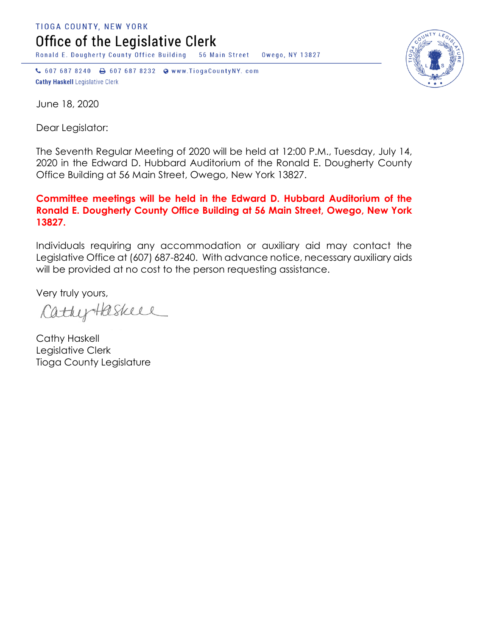TIOGA COUNTY, NEW YORK Office of the Legislative Clerk

Ronald E. Dougherty County Office Building 56 Main Street Owego, NY 13827

↓ 607 687 8240 → 607 687 8232 → www.TiogaCountyNY.com **Cathy Haskell Legislative Clerk** 



June 18, 2020

Dear Legislator:

The Seventh Regular Meeting of 2020 will be held at 12:00 P.M., Tuesday, July 14, 2020 in the Edward D. Hubbard Auditorium of the Ronald E. Dougherty County Office Building at 56 Main Street, Owego, New York 13827.

## **Committee meetings will be held in the Edward D. Hubbard Auditorium of the Ronald E. Dougherty County Office Building at 56 Main Street, Owego, New York 13827.**

Individuals requiring any accommodation or auxiliary aid may contact the Legislative Office at (607) 687-8240. With advance notice, necessary auxiliary aids will be provided at no cost to the person requesting assistance.

Very truly yours,

CathyHaskell

Cathy Haskell Legislative Clerk Tioga County Legislature